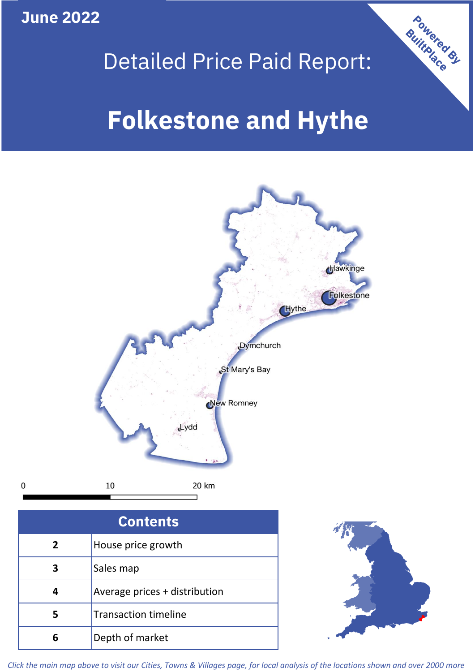**June 2022**



## Detailed Price Paid Report:

# **Folkestone and Hythe**



| <b>Contents</b> |                               |  |  |
|-----------------|-------------------------------|--|--|
| 2               | House price growth            |  |  |
| 3               | Sales map                     |  |  |
|                 | Average prices + distribution |  |  |
| 5               | <b>Transaction timeline</b>   |  |  |
| 6               | Depth of market               |  |  |



*Click the main map above to visit our Cities, Towns & Villages page, for local analysis of the locations shown and over 2000 more*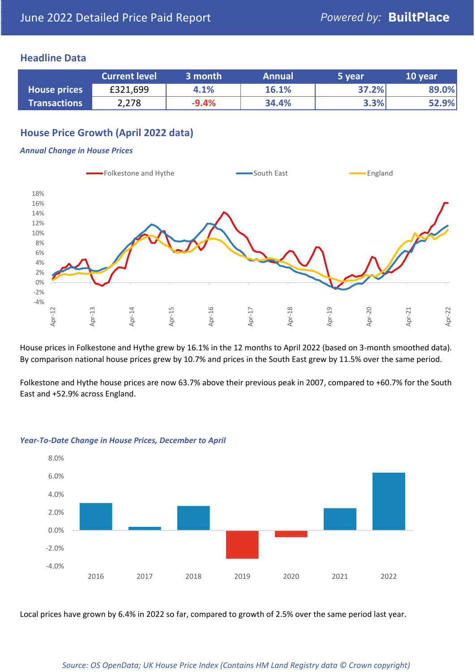#### **Headline Data**

|                     | <b>Current level</b> | 3 month | <b>Annual</b> | 5 year | 10 year |
|---------------------|----------------------|---------|---------------|--------|---------|
| <b>House prices</b> | £321,699             | 4.1%    | 16.1%         | 37.2%  | 89.0%   |
| <b>Transactions</b> | 2,278                | $-9.4%$ | 34.4%         | 3.3%   | 52.9%   |

## **House Price Growth (April 2022 data)**

#### *Annual Change in House Prices*



House prices in Folkestone and Hythe grew by 16.1% in the 12 months to April 2022 (based on 3-month smoothed data). By comparison national house prices grew by 10.7% and prices in the South East grew by 11.5% over the same period.

Folkestone and Hythe house prices are now 63.7% above their previous peak in 2007, compared to +60.7% for the South East and +52.9% across England.



#### *Year-To-Date Change in House Prices, December to April*

Local prices have grown by 6.4% in 2022 so far, compared to growth of 2.5% over the same period last year.

#### *Source: OS OpenData; UK House Price Index (Contains HM Land Registry data © Crown copyright)*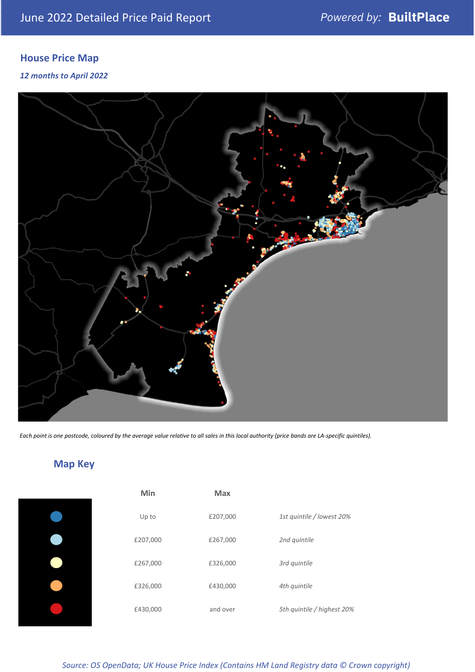## **House Price Map**

#### *12 months to April 2022*



*Each point is one postcode, coloured by the average value relative to all sales in this local authority (price bands are LA-specific quintiles).*

## **Map Key**

| Min      | <b>Max</b> |                            |
|----------|------------|----------------------------|
| Up to    | £207,000   | 1st quintile / lowest 20%  |
| £207,000 | £267,000   | 2nd quintile               |
| £267,000 | £326,000   | 3rd quintile               |
| £326,000 | £430,000   | 4th quintile               |
| £430,000 | and over   | 5th quintile / highest 20% |

#### *Source: OS OpenData; UK House Price Index (Contains HM Land Registry data © Crown copyright)*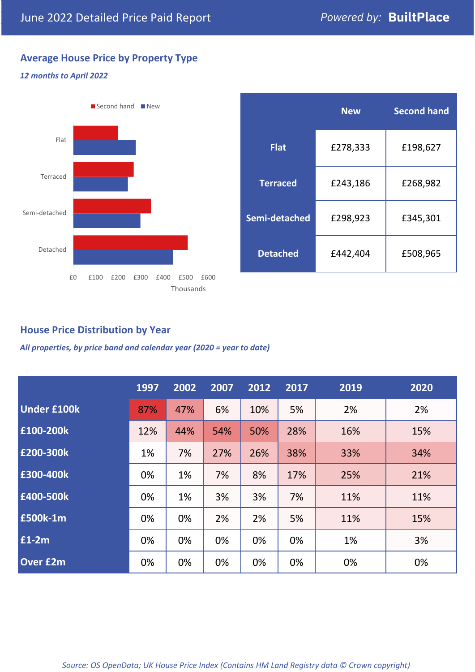## **Average House Price by Property Type**

#### *12 months to April 2022*



|                 | <b>New</b> | <b>Second hand</b> |  |  |
|-----------------|------------|--------------------|--|--|
| <b>Flat</b>     | £278,333   | £198,627           |  |  |
| <b>Terraced</b> | £243,186   | £268,982           |  |  |
| Semi-detached   | £298,923   | £345,301           |  |  |
| <b>Detached</b> | £442,404   | £508,965           |  |  |

## **House Price Distribution by Year**

*All properties, by price band and calendar year (2020 = year to date)*

|                    | 1997 | 2002 | 2007 | 2012 | 2017 | 2019 | 2020 |
|--------------------|------|------|------|------|------|------|------|
| <b>Under £100k</b> | 87%  | 47%  | 6%   | 10%  | 5%   | 2%   | 2%   |
| £100-200k          | 12%  | 44%  | 54%  | 50%  | 28%  | 16%  | 15%  |
| E200-300k          | 1%   | 7%   | 27%  | 26%  | 38%  | 33%  | 34%  |
| £300-400k          | 0%   | 1%   | 7%   | 8%   | 17%  | 25%  | 21%  |
| £400-500k          | 0%   | 1%   | 3%   | 3%   | 7%   | 11%  | 11%  |
| £500k-1m           | 0%   | 0%   | 2%   | 2%   | 5%   | 11%  | 15%  |
| £1-2m              | 0%   | 0%   | 0%   | 0%   | 0%   | 1%   | 3%   |
| <b>Over £2m</b>    | 0%   | 0%   | 0%   | 0%   | 0%   | 0%   | 0%   |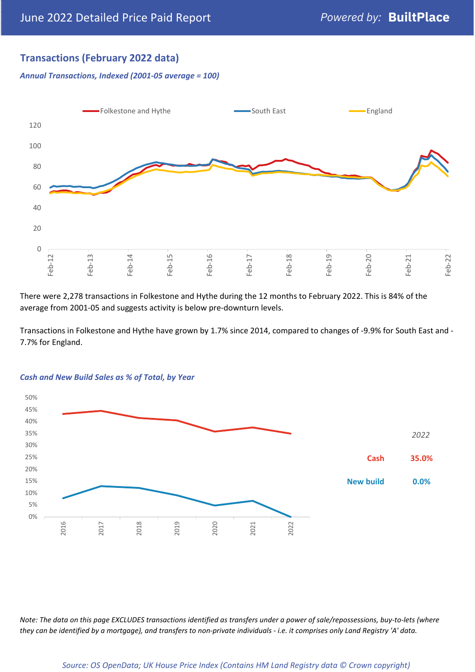## **Transactions (February 2022 data)**

*Annual Transactions, Indexed (2001-05 average = 100)*



There were 2,278 transactions in Folkestone and Hythe during the 12 months to February 2022. This is 84% of the average from 2001-05 and suggests activity is below pre-downturn levels.

Transactions in Folkestone and Hythe have grown by 1.7% since 2014, compared to changes of -9.9% for South East and - 7.7% for England.



#### *Cash and New Build Sales as % of Total, by Year*

*Note: The data on this page EXCLUDES transactions identified as transfers under a power of sale/repossessions, buy-to-lets (where they can be identified by a mortgage), and transfers to non-private individuals - i.e. it comprises only Land Registry 'A' data.*